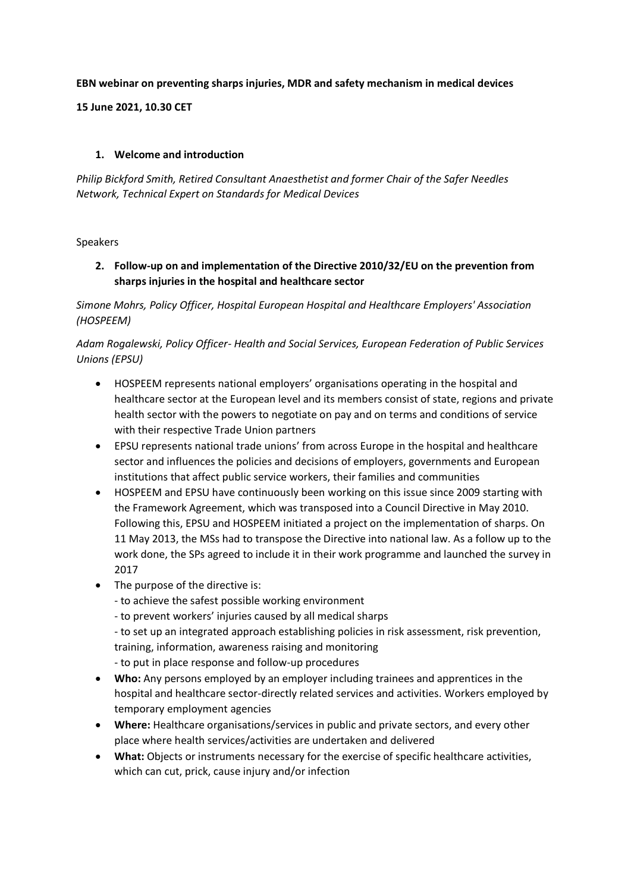## **EBN webinar on preventing sharps injuries, MDR and safety mechanism in medical devices**

**15 June 2021, 10.30 CET**

## **1. Welcome and introduction**

*Philip Bickford Smith, Retired Consultant Anaesthetist and former Chair of the Safer Needles Network, Technical Expert on Standards for Medical Devices*

### Speakers

**2. Follow-up on and implementation of the Directive 2010/32/EU on the prevention from sharps injuries in the hospital and healthcare sector**

*Simone Mohrs, Policy Officer, Hospital European Hospital and Healthcare Employers' Association (HOSPEEM)*

*Adam Rogalewski, Policy Officer- Health and Social Services, European Federation of Public Services Unions (EPSU)* 

- HOSPEEM represents national employers' organisations operating in the hospital and healthcare sector at the European level and its members consist of state, regions and private health sector with the powers to negotiate on pay and on terms and conditions of service with their respective Trade Union partners
- EPSU represents national trade unions' from across Europe in the hospital and healthcare sector and influences the policies and decisions of employers, governments and European institutions that affect public service workers, their families and communities
- HOSPEEM and EPSU have continuously been working on this issue since 2009 starting with the Framework Agreement, which was transposed into a Council Directive in May 2010. Following this, EPSU and HOSPEEM initiated a project on the implementation of sharps. On 11 May 2013, the MSs had to transpose the Directive into national law. As a follow up to the work done, the SPs agreed to include it in their work programme and launched the survey in 2017
- The purpose of the directive is:
	- to achieve the safest possible working environment
	- to prevent workers' injuries caused by all medical sharps
	- to set up an integrated approach establishing policies in risk assessment, risk prevention, training, information, awareness raising and monitoring
	- to put in place response and follow-up procedures
- **Who:** Any persons employed by an employer including trainees and apprentices in the hospital and healthcare sector-directly related services and activities. Workers employed by temporary employment agencies
- **Where:** Healthcare organisations/services in public and private sectors, and every other place where health services/activities are undertaken and delivered
- **What:** Objects or instruments necessary for the exercise of specific healthcare activities, which can cut, prick, cause injury and/or infection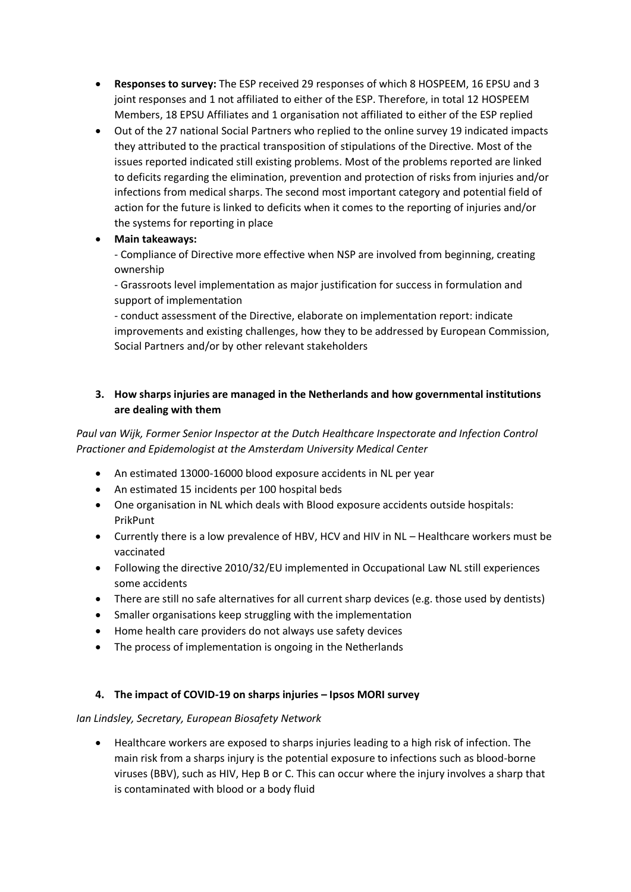- **Responses to survey:** The ESP received 29 responses of which 8 HOSPEEM, 16 EPSU and 3 joint responses and 1 not affiliated to either of the ESP. Therefore, in total 12 HOSPEEM Members, 18 EPSU Affiliates and 1 organisation not affiliated to either of the ESP replied
- Out of the 27 national Social Partners who replied to the online survey 19 indicated impacts they attributed to the practical transposition of stipulations of the Directive. Most of the issues reported indicated still existing problems. Most of the problems reported are linked to deficits regarding the elimination, prevention and protection of risks from injuries and/or infections from medical sharps. The second most important category and potential field of action for the future is linked to deficits when it comes to the reporting of injuries and/or the systems for reporting in place
- **Main takeaways:**

- Compliance of Directive more effective when NSP are involved from beginning, creating ownership

- Grassroots level implementation as major justification for success in formulation and support of implementation

- conduct assessment of the Directive, elaborate on implementation report: indicate improvements and existing challenges, how they to be addressed by European Commission, Social Partners and/or by other relevant stakeholders

## **3. How sharps injuries are managed in the Netherlands and how governmental institutions are dealing with them**

*Paul van Wijk, Former Senior Inspector at the Dutch Healthcare Inspectorate and Infection Control Practioner and Epidemologist at the Amsterdam University Medical Center*

- An estimated 13000-16000 blood exposure accidents in NL per year
- An estimated 15 incidents per 100 hospital beds
- One organisation in NL which deals with Blood exposure accidents outside hospitals: PrikPunt
- Currently there is a low prevalence of HBV, HCV and HIV in NL Healthcare workers must be vaccinated
- Following the directive 2010/32/EU implemented in Occupational Law NL still experiences some accidents
- There are still no safe alternatives for all current sharp devices (e.g. those used by dentists)
- Smaller organisations keep struggling with the implementation
- Home health care providers do not always use safety devices
- The process of implementation is ongoing in the Netherlands

### **4. The impact of COVID-19 on sharps injuries – Ipsos MORI survey**

### *Ian Lindsley, Secretary, European Biosafety Network*

• Healthcare workers are exposed to sharps injuries leading to a high risk of infection. The main risk from a sharps injury is the potential exposure to infections such as blood-borne viruses (BBV), such as HIV, Hep B or C. This can occur where the injury involves a sharp that is contaminated with blood or a body fluid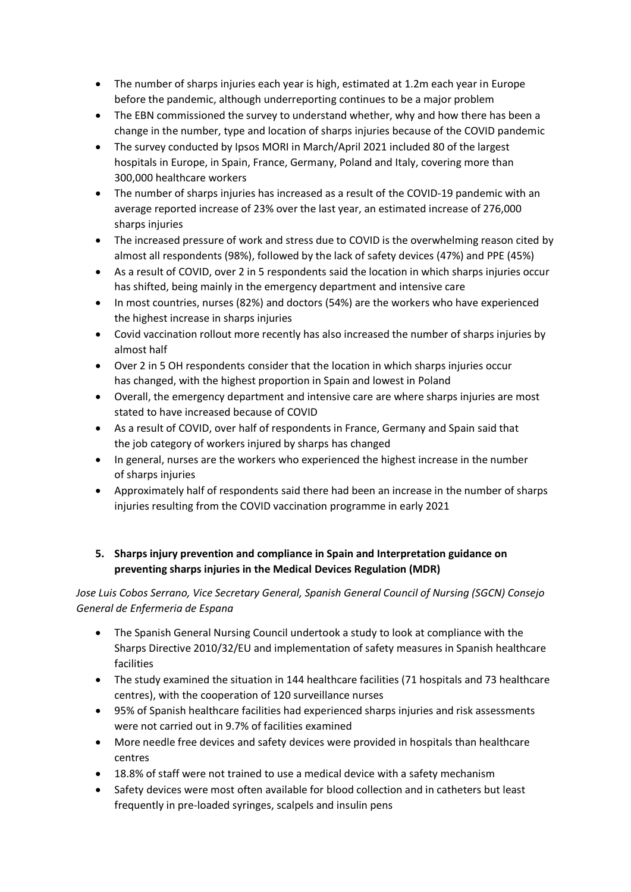- The number of sharps injuries each year is high, estimated at 1.2m each year in Europe before the pandemic, although underreporting continues to be a major problem
- The EBN commissioned the survey to understand whether, why and how there has been a change in the number, type and location of sharps injuries because of the COVID pandemic
- The survey conducted by Ipsos MORI in March/April 2021 included 80 of the largest hospitals in Europe, in Spain, France, Germany, Poland and Italy, covering more than 300,000 healthcare workers
- The number of sharps injuries has increased as a result of the COVID-19 pandemic with an average reported increase of 23% over the last year, an estimated increase of 276,000 sharps injuries
- The increased pressure of work and stress due to COVID is the overwhelming reason cited by almost all respondents (98%), followed by the lack of safety devices (47%) and PPE (45%)
- As a result of COVID, over 2 in 5 respondents said the location in which sharps injuries occur has shifted, being mainly in the emergency department and intensive care
- In most countries, nurses (82%) and doctors (54%) are the workers who have experienced the highest increase in sharps injuries
- Covid vaccination rollout more recently has also increased the number of sharps injuries by almost half
- Over 2 in 5 OH respondents consider that the location in which sharps injuries occur has changed, with the highest proportion in Spain and lowest in Poland
- Overall, the emergency department and intensive care are where sharps injuries are most stated to have increased because of COVID
- As a result of COVID, over half of respondents in France, Germany and Spain said that the job category of workers injured by sharps has changed
- In general, nurses are the workers who experienced the highest increase in the number of sharps injuries
- Approximately half of respondents said there had been an increase in the number of sharps injuries resulting from the COVID vaccination programme in early 2021

# **5. Sharps injury prevention and compliance in Spain and Interpretation guidance on preventing sharps injuries in the Medical Devices Regulation (MDR)**

# *Jose Luis Cobos Serrano, Vice Secretary General, Spanish General Council of Nursing (SGCN) Consejo General de Enfermeria de Espana*

- The Spanish General Nursing Council undertook a study to look at compliance with the Sharps Directive 2010/32/EU and implementation of safety measures in Spanish healthcare facilities
- The study examined the situation in 144 healthcare facilities (71 hospitals and 73 healthcare centres), with the cooperation of 120 surveillance nurses
- 95% of Spanish healthcare facilities had experienced sharps injuries and risk assessments were not carried out in 9.7% of facilities examined
- More needle free devices and safety devices were provided in hospitals than healthcare centres
- 18.8% of staff were not trained to use a medical device with a safety mechanism
- Safety devices were most often available for blood collection and in catheters but least frequently in pre-loaded syringes, scalpels and insulin pens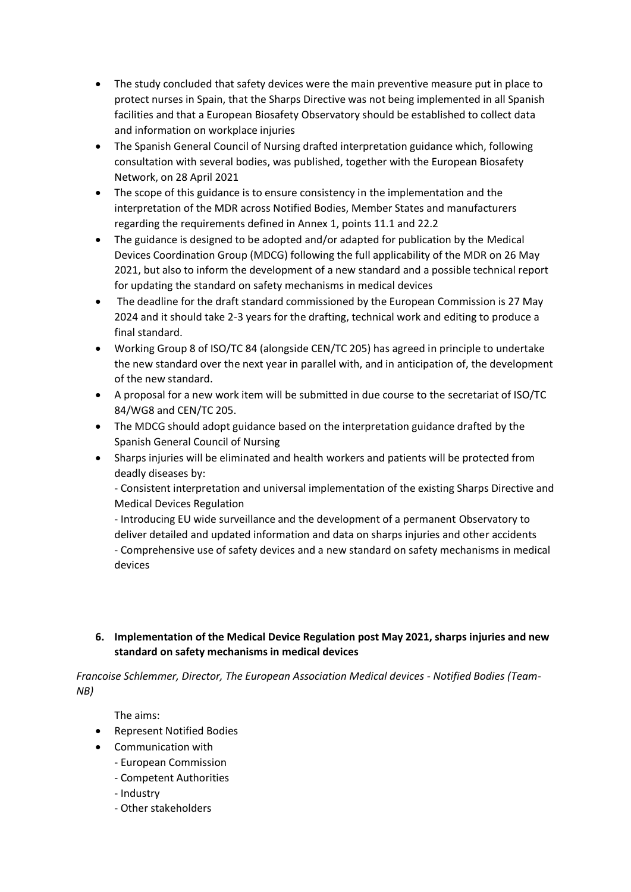- The study concluded that safety devices were the main preventive measure put in place to protect nurses in Spain, that the Sharps Directive was not being implemented in all Spanish facilities and that a European Biosafety Observatory should be established to collect data and information on workplace injuries
- The Spanish General Council of Nursing drafted interpretation guidance which, following consultation with several bodies, was published, together with the European Biosafety Network, on 28 April 2021
- The scope of this guidance is to ensure consistency in the implementation and the interpretation of the MDR across Notified Bodies, Member States and manufacturers regarding the requirements defined in Annex 1, points 11.1 and 22.2
- The guidance is designed to be adopted and/or adapted for publication by the Medical Devices Coordination Group (MDCG) following the full applicability of the MDR on 26 May 2021, but also to inform the development of a new standard and a possible technical report for updating the standard on safety mechanisms in medical devices
- The deadline for the draft standard commissioned by the European Commission is 27 May 2024 and it should take 2-3 years for the drafting, technical work and editing to produce a final standard.
- Working Group 8 of ISO/TC 84 (alongside CEN/TC 205) has agreed in principle to undertake the new standard over the next year in parallel with, and in anticipation of, the development of the new standard.
- A proposal for a new work item will be submitted in due course to the secretariat of ISO/TC 84/WG8 and CEN/TC 205.
- The MDCG should adopt guidance based on the interpretation guidance drafted by the Spanish General Council of Nursing
- Sharps injuries will be eliminated and health workers and patients will be protected from deadly diseases by:

- Consistent interpretation and universal implementation of the existing Sharps Directive and Medical Devices Regulation

- Introducing EU wide surveillance and the development of a permanent Observatory to deliver detailed and updated information and data on sharps injuries and other accidents - Comprehensive use of safety devices and a new standard on safety mechanisms in medical devices

# **6. Implementation of the Medical Device Regulation post May 2021, sharps injuries and new standard on safety mechanisms in medical devices**

*Francoise Schlemmer, Director, The European Association Medical devices - Notified Bodies (Team-NB)*

The aims:

- Represent Notified Bodies
- Communication with
	- European Commission
	- Competent Authorities
	- Industry
	- Other stakeholders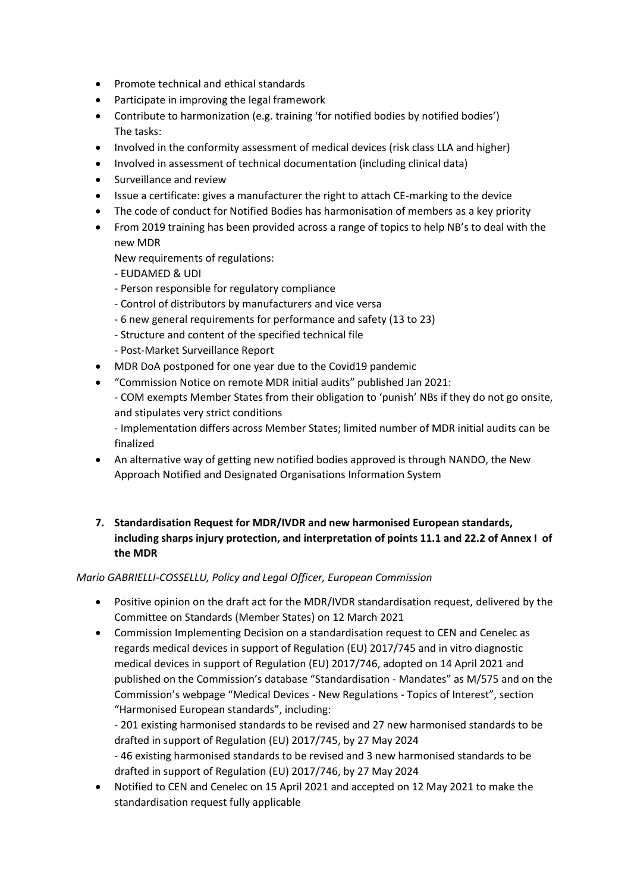- Promote technical and ethical standards
- Participate in improving the legal framework
- Contribute to harmonization (e.g. training 'for notified bodies by notified bodies') The tasks:
- Involved in the conformity assessment of medical devices (risk class LLA and higher)
- Involved in assessment of technical documentation (including clinical data)
- Surveillance and review
- Issue a certificate: gives a manufacturer the right to attach CE-marking to the device
- The code of conduct for Notified Bodies has harmonisation of members as a key priority
- From 2019 training has been provided across a range of topics to help NB's to deal with the new MDR
	- New requirements of regulations:
	- EUDAMED & UDI
	- Person responsible for regulatory compliance
	- Control of distributors by manufacturers and vice versa
	- 6 new general requirements for performance and safety (13 to 23)
	- Structure and content of the specified technical file
	- Post-Market Surveillance Report
- MDR DoA postponed for one year due to the Covid19 pandemic
- "Commission Notice on remote MDR initial audits" published Jan 2021:
	- COM exempts Member States from their obligation to 'punish' NBs if they do not go onsite, and stipulates very strict conditions

- Implementation differs across Member States; limited number of MDR initial audits can be finalized

- An alternative way of getting new notified bodies approved is through NANDO, the New Approach Notified and Designated Organisations Information System
- **7. Standardisation Request for MDR/IVDR and new harmonised European standards, including sharps injury protection, and interpretation of points 11.1 and 22.2 of Annex I of the MDR**

## *Mario GABRIELLI-COSSELLU, Policy and Legal Officer, European Commission*

- Positive opinion on the draft act for the MDR/IVDR standardisation request, delivered by the Committee on Standards (Member States) on 12 March 2021
- Commission Implementing Decision on a standardisation request to CEN and Cenelec as regards medical devices in support of Regulation (EU) 2017/745 and in vitro diagnostic medical devices in support of Regulation (EU) 2017/746, adopted on 14 April 2021 and published on the Commission's database "Standardisation - Mandates" as M/575 and on the Commission's webpage "Medical Devices - New Regulations - Topics of Interest", section "Harmonised European standards", including:

- 201 existing harmonised standards to be revised and 27 new harmonised standards to be drafted in support of Regulation (EU) 2017/745, by 27 May 2024

- 46 existing harmonised standards to be revised and 3 new harmonised standards to be drafted in support of Regulation (EU) 2017/746, by 27 May 2024

• Notified to CEN and Cenelec on 15 April 2021 and accepted on 12 May 2021 to make the standardisation request fully applicable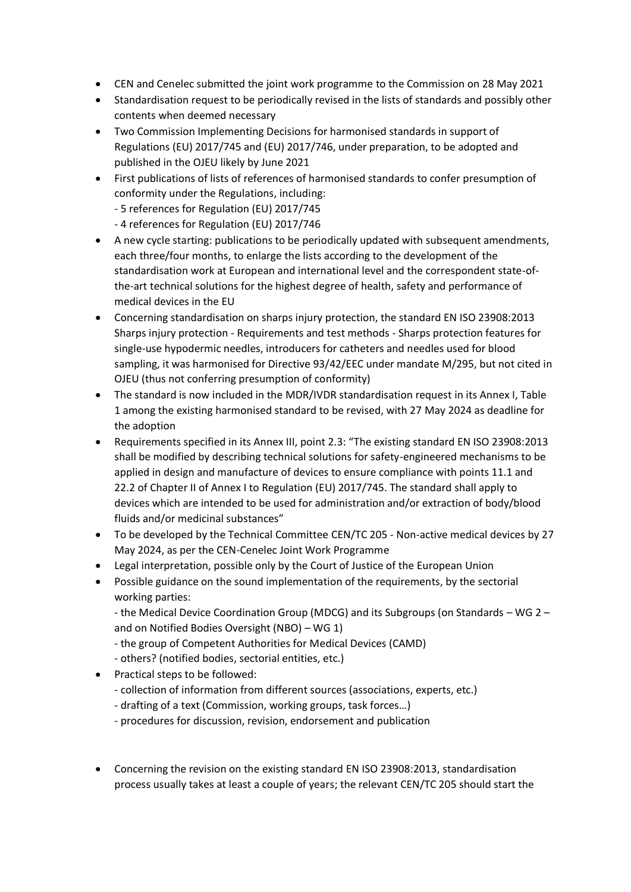- CEN and Cenelec submitted the joint work programme to the Commission on 28 May 2021
- Standardisation request to be periodically revised in the lists of standards and possibly other contents when deemed necessary
- Two Commission Implementing Decisions for harmonised standards in support of Regulations (EU) 2017/745 and (EU) 2017/746, under preparation, to be adopted and published in the OJEU likely by June 2021
- First publications of lists of references of harmonised standards to confer presumption of conformity under the Regulations, including:
	- 5 references for Regulation (EU) 2017/745
	- 4 references for Regulation (EU) 2017/746
- A new cycle starting: publications to be periodically updated with subsequent amendments, each three/four months, to enlarge the lists according to the development of the standardisation work at European and international level and the correspondent state-ofthe-art technical solutions for the highest degree of health, safety and performance of medical devices in the EU
- Concerning standardisation on sharps injury protection, the standard EN ISO 23908:2013 Sharps injury protection - Requirements and test methods - Sharps protection features for single-use hypodermic needles, introducers for catheters and needles used for blood sampling, it was harmonised for Directive 93/42/EEC under mandate M/295, but not cited in OJEU (thus not conferring presumption of conformity)
- The standard is now included in the MDR/IVDR standardisation request in its Annex I, Table 1 among the existing harmonised standard to be revised, with 27 May 2024 as deadline for the adoption
- Requirements specified in its Annex III, point 2.3: "The existing standard EN ISO 23908:2013 shall be modified by describing technical solutions for safety-engineered mechanisms to be applied in design and manufacture of devices to ensure compliance with points 11.1 and 22.2 of Chapter II of Annex I to Regulation (EU) 2017/745. The standard shall apply to devices which are intended to be used for administration and/or extraction of body/blood fluids and/or medicinal substances"
- To be developed by the Technical Committee CEN/TC 205 Non-active medical devices by 27 May 2024, as per the CEN-Cenelec Joint Work Programme
- Legal interpretation, possible only by the Court of Justice of the European Union
- Possible guidance on the sound implementation of the requirements, by the sectorial working parties:

- the Medical Device Coordination Group (MDCG) and its Subgroups (on Standards – WG 2 – and on Notified Bodies Oversight (NBO) – WG 1)

- the group of Competent Authorities for Medical Devices (CAMD)
- others? (notified bodies, sectorial entities, etc.)
- Practical steps to be followed:
	- collection of information from different sources (associations, experts, etc.)
	- drafting of a text (Commission, working groups, task forces…)
	- procedures for discussion, revision, endorsement and publication
- Concerning the revision on the existing standard EN ISO 23908:2013, standardisation process usually takes at least a couple of years; the relevant CEN/TC 205 should start the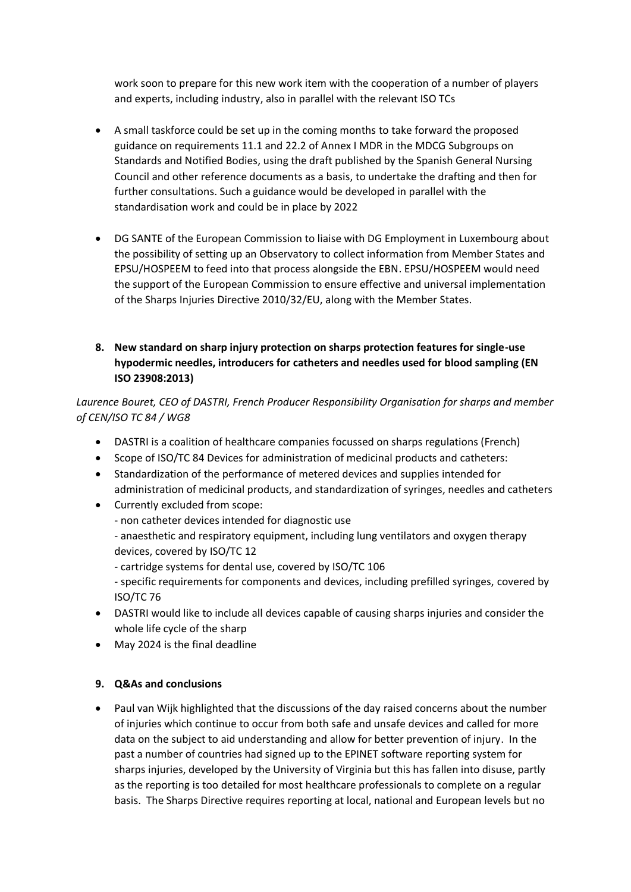work soon to prepare for this new work item with the cooperation of a number of players and experts, including industry, also in parallel with the relevant ISO TCs

- A small taskforce could be set up in the coming months to take forward the proposed guidance on requirements 11.1 and 22.2 of Annex I MDR in the MDCG Subgroups on Standards and Notified Bodies, using the draft published by the Spanish General Nursing Council and other reference documents as a basis, to undertake the drafting and then for further consultations. Such a guidance would be developed in parallel with the standardisation work and could be in place by 2022
- DG SANTE of the European Commission to liaise with DG Employment in Luxembourg about the possibility of setting up an Observatory to collect information from Member States and EPSU/HOSPEEM to feed into that process alongside the EBN. EPSU/HOSPEEM would need the support of the European Commission to ensure effective and universal implementation of the Sharps Injuries Directive 2010/32/EU, along with the Member States.
- **8. New standard on sharp injury protection on sharps protection features for single-use hypodermic needles, introducers for catheters and needles used for blood sampling (EN ISO 23908:2013)**

*Laurence Bouret, CEO of DASTRI, French Producer Responsibility Organisation for sharps and member of CEN/ISO TC 84 / WG8*

- DASTRI is a coalition of healthcare companies focussed on sharps regulations (French)
- Scope of ISO/TC 84 Devices for administration of medicinal products and catheters:
- Standardization of the performance of metered devices and supplies intended for administration of medicinal products, and standardization of syringes, needles and catheters
- Currently excluded from scope:
	- non catheter devices intended for diagnostic use
	- anaesthetic and respiratory equipment, including lung ventilators and oxygen therapy devices, covered by ISO/TC 12
	- cartridge systems for dental use, covered by ISO/TC 106
	- specific requirements for components and devices, including prefilled syringes, covered by ISO/TC 76
- DASTRI would like to include all devices capable of causing sharps injuries and consider the whole life cycle of the sharp
- May 2024 is the final deadline

## **9. Q&As and conclusions**

• Paul van Wijk highlighted that the discussions of the day raised concerns about the number of injuries which continue to occur from both safe and unsafe devices and called for more data on the subject to aid understanding and allow for better prevention of injury. In the past a number of countries had signed up to the EPINET software reporting system for sharps injuries, developed by the University of Virginia but this has fallen into disuse, partly as the reporting is too detailed for most healthcare professionals to complete on a regular basis. The Sharps Directive requires reporting at local, national and European levels but no